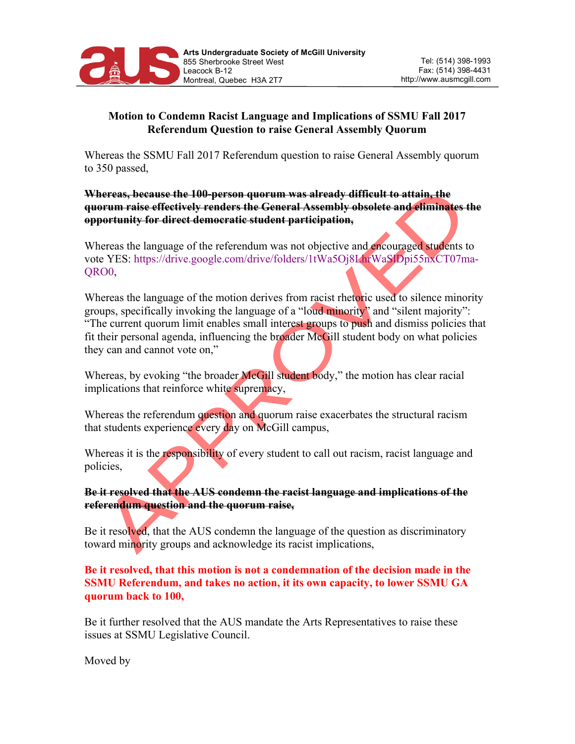

## **Motion to Condemn Racist Language and Implications of SSMU Fall 2017 Referendum Question to raise General Assembly Quorum**

Whereas the SSMU Fall 2017 Referendum question to raise General Assembly quorum to 350 passed,

**Whereas, because the 100-person quorum was already difficult to attain, the quorum raise effectively renders the General Assembly obsolete and eliminates the opportunity for direct democratic student participation,**

Whereas the language of the referendum was not objective and encouraged students to vote YES: https://drive.google.com/drive/folders/1tWa5Oj8LhrWaSlDpi55nxCT07ma-QRO0,

Whereas the language of the motion derives from racist rhetoric used to silence minority groups, specifically invoking the language of a "loud minority" and "silent majority": "The current quorum limit enables small interest groups to push and dismiss policies that fit their personal agenda, influencing the broader McGill student body on what policies they can and cannot vote on,"

Whereas, by evoking "the broader McGill student body," the motion has clear racial implications that reinforce white supremacy,

Whereas the referendum question and quorum raise exacerbates the structural racism that students experience every day on McGill campus,

Whereas it is the responsibility of every student to call out racism, racist language and policies,

**Be it resolved that the AUS condemn the racist language and implications of the referendum question and the quorum raise,**

Be it resolved, that the AUS condemn the language of the question as discriminatory toward minority groups and acknowledge its racist implications,

**Be it resolved, that this motion is not a condemnation of the decision made in the SSMU Referendum, and takes no action, it its own capacity, to lower SSMU GA quorum back to 100,**

Be it further resolved that the AUS mandate the Arts Representatives to raise these issues at SSMU Legislative Council.

Moved by